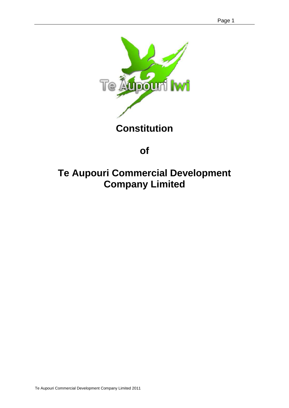

**of**

# **Te Aupouri Commercial Development Company Limited**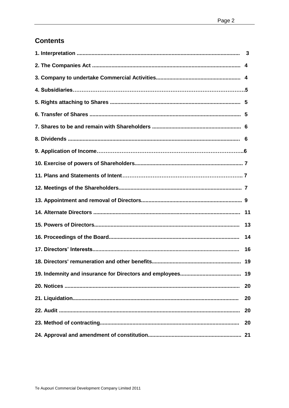# **Contents**

| 16 |
|----|
|    |
|    |
| 20 |
| 20 |
| 20 |
| 20 |
|    |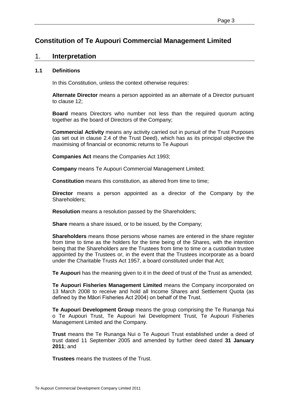# **Constitution of Te Aupouri Commercial Management Limited**

# 1. **Interpretation**

# **1.1 Definitions**

In this Constitution, unless the context otherwise requires:

**Alternate Director** means a person appointed as an alternate of a Director pursuant to clause 12;

**Board** means Directors who number not less than the required quorum acting together as the board of Directors of the Company;

**Commercial Activity** means any activity carried out in pursuit of the Trust Purposes (as set out in clause 2.4 of the Trust Deed), which has as its principal objective the maximising of financial or economic returns to Te Aupouri

**Companies Act** means the Companies Act 1993;

**Company** means Te Aupouri Commercial Management Limited;

**Constitution** means this constitution, as altered from time to time:

**Director** means a person appointed as a director of the Company by the Shareholders;

**Resolution** means a resolution passed by the Shareholders;

**Share** means a share issued, or to be issued, by the Company;

**Shareholders** means those persons whose names are entered in the share register from time to time as the holders for the time being of the Shares, with the intention being that the Shareholders are the Trustees from time to time or a custodian trustee appointed by the Trustees or, in the event that the Trustees incorporate as a board under the Charitable Trusts Act 1957, a board constituted under that Act;

**Te Aupouri** has the meaning given to it in the deed of trust of the Trust as amended;

**Te Aupouri Fisheries Management Limited** means the Company incorporated on 13 March 2008 to receive and hold all Income Shares and Settlement Quota (as defined by the Māori Fisheries Act 2004) on behalf of the Trust.

**Te Aupouri Development Group** means the group comprising the Te Runanga Nui o Te Aupouri Trust, Te Aupouri Iwi Development Trust, Te Aupouri Fisheries Management Limited and the Company.

**Trust** means the Te Runanga Nui o Te Aupouri Trust established under a deed of trust dated 11 September 2005 and amended by further deed dated **31 January 2011**; and

**Trustees** means the trustees of the Trust.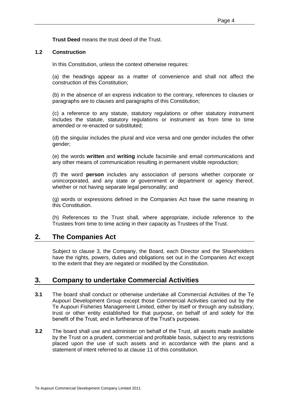**Trust Deed** means the trust deed of the Trust.

### **1.2 Construction**

In this Constitution, unless the context otherwise requires:

(a) the headings appear as a matter of convenience and shall not affect the construction of this Constitution;

(b) in the absence of an express indication to the contrary, references to clauses or paragraphs are to clauses and paragraphs of this Constitution;

(c) a reference to any statute, statutory regulations or other statutory instrument includes the statute, statutory regulations or instrument as from time to time amended or re-enacted or substituted;

(d) the singular includes the plural and vice versa and one gender includes the other gender;

(e) the words **written** and **writing** include facsimile and email communications and any other means of communication resulting in permanent visible reproduction;

(f) the word **person** includes any association of persons whether corporate or unincorporated, and any state or government or department or agency thereof, whether or not having separate legal personality; and

(g) words or expressions defined in the Companies Act have the same meaning in this Constitution.

(h) References to the Trust shall, where appropriate, include reference to the Trustees from time to time acting in their capacity as Trustees of the Trust.

# **2. The Companies Act**

Subject to clause 3, the Company, the Board, each Director and the Shareholders have the rights, powers, duties and obligations set out in the Companies Act except to the extent that they are negated or modified by the Constitution.

# **3. Company to undertake Commercial Activities**

- **3.1** The board shall conduct or otherwise undertake all Commercial Activities of the Te Aupouri Development Group except those Commercial Activities carried out by the Te Aupouri Fisheries Management Limited, either by itself or through any subsidiary, trust or other entity established for that purpose, on behalf of and solely for the benefit of the Trust, and in furtherance of the Trust's purposes.
- **3.2** The board shall use and administer on behalf of the Trust, all assets made available by the Trust on a prudent, commercial and profitable basis, subject to any restrictions placed upon the use of such assets and in accordance with the plans and a statement of intent referred to at clause 11 of this constitution.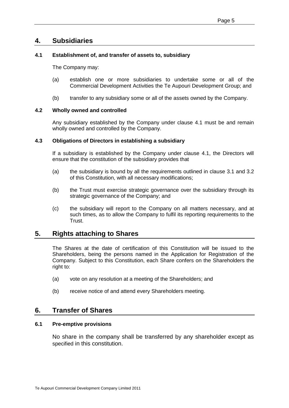# **4. Subsidiaries**

# **4.1 Establishment of, and transfer of assets to, subsidiary**

The Company may:

- (a) establish one or more subsidiaries to undertake some or all of the Commercial Development Activities the Te Aupouri Development Group; and
- (b) transfer to any subsidiary some or all of the assets owned by the Company.

# **4.2 Wholly owned and controlled**

Any subsidiary established by the Company under clause 4.1 must be and remain wholly owned and controlled by the Company.

### **4.3 Obligations of Directors in establishing a subsidiary**

If a subsidiary is established by the Company under clause 4.1, the Directors will ensure that the constitution of the subsidiary provides that

- (a) the subsidiary is bound by all the requirements outlined in clause 3.1 and 3.2 of this Constitution, with all necessary modifications;
- (b) the Trust must exercise strategic governance over the subsidiary through its strategic governance of the Company; and
- (c) the subsidiary will report to the Company on all matters necessary, and at such times, as to allow the Company to fulfil its reporting requirements to the Trust.

# **5. Rights attaching to Shares**

The Shares at the date of certification of this Constitution will be issued to the Shareholders, being the persons named in the Application for Registration of the Company. Subject to this Constitution, each Share confers on the Shareholders the right to:

- (a) vote on any resolution at a meeting of the Shareholders; and
- (b) receive notice of and attend every Shareholders meeting.

# **6. Transfer of Shares**

#### **6.1 Pre-emptive provisions**

No share in the company shall be transferred by any shareholder except as specified in this constitution.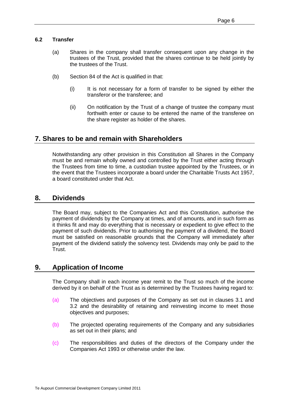#### **6.2 Transfer**

- (a) Shares in the company shall transfer consequent upon any change in the trustees of the Trust, provided that the shares continue to be held jointly by the trustees of the Trust.
- (b) Section 84 of the Act is qualified in that:
	- (i) It is not necessary for a form of transfer to be signed by either the transferor or the transferee; and
	- (ii) On notification by the Trust of a change of trustee the company must forthwith enter or cause to be entered the name of the transferee on the share register as holder of the shares.

# **7. Shares to be and remain with Shareholders**

Notwithstanding any other provision in this Constitution all Shares in the Company must be and remain wholly owned and controlled by the Trust either acting through the Trustees from time to time, a custodian trustee appointed by the Trustees, or in the event that the Trustees incorporate a board under the Charitable Trusts Act 1957, a board constituted under that Act.

# **8. Dividends**

The Board may, subject to the Companies Act and this Constitution, authorise the payment of dividends by the Company at times, and of amounts, and in such form as it thinks fit and may do everything that is necessary or expedient to give effect to the payment of such dividends. Prior to authorising the payment of a dividend, the Board must be satisfied on reasonable grounds that the Company will immediately after payment of the dividend satisfy the solvency test. Dividends may only be paid to the **Trust** 

# **9. Application of Income**

The Company shall in each income year remit to the Trust so much of the income derived by it on behalf of the Trust as is determined by the Trustees having regard to:

- (a) The objectives and purposes of the Company as set out in clauses 3.1 and 3.2 and the desirability of retaining and reinvesting income to meet those objectives and purposes;
- (b) The projected operating requirements of the Company and any subsidiaries as set out in their plans; and
- (c) The responsibilities and duties of the directors of the Company under the Companies Act 1993 or otherwise under the law.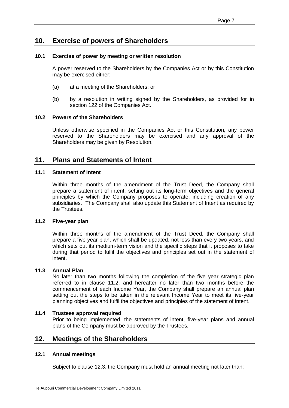# **10. Exercise of powers of Shareholders**

# **10.1 Exercise of power by meeting or written resolution**

A power reserved to the Shareholders by the Companies Act or by this Constitution may be exercised either:

- (a) at a meeting of the Shareholders; or
- (b) by a resolution in writing signed by the Shareholders, as provided for in section 122 of the Companies Act.

#### **10.2 Powers of the Shareholders**

Unless otherwise specified in the Companies Act or this Constitution, any power reserved to the Shareholders may be exercised and any approval of the Shareholders may be given by Resolution.

# **11. Plans and Statements of Intent**

# **11.1 Statement of Intent**

Within three months of the amendment of the Trust Deed, the Company shall prepare a statement of intent, setting out its long-term objectives and the general principles by which the Company proposes to operate, including creation of any subsidiaries. The Company shall also update this Statement of Intent as required by the Trustees.

# **11.2 Five-year plan**

Within three months of the amendment of the Trust Deed, the Company shall prepare a five year plan, which shall be updated, not less than every two years, and which sets out its medium-term vision and the specific steps that it proposes to take during that period to fulfil the objectives and principles set out in the statement of intent.

# **11.3 Annual Plan**

No later than two months following the completion of the five year strategic plan referred to in clause 11.2, and hereafter no later than two months before the commencement of each Income Year, the Company shall prepare an annual plan setting out the steps to be taken in the relevant Income Year to meet its five-year planning objectives and fulfil the objectives and principles of the statement of intent.

# **11.4 Trustees approval required**

Prior to being implemented, the statements of intent, five-year plans and annual plans of the Company must be approved by the Trustees.

# **12. Meetings of the Shareholders**

# **12.1 Annual meetings**

Subject to clause 12.3, the Company must hold an annual meeting not later than: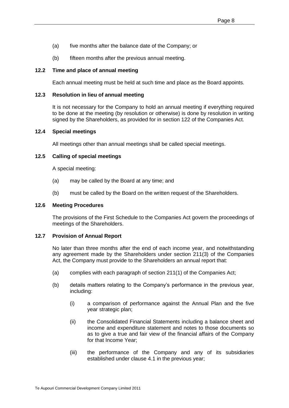- (a) five months after the balance date of the Company; or
- (b) fifteen months after the previous annual meeting.

#### **12.2 Time and place of annual meeting**

Each annual meeting must be held at such time and place as the Board appoints.

### **12.3 Resolution in lieu of annual meeting**

It is not necessary for the Company to hold an annual meeting if everything required to be done at the meeting (by resolution or otherwise) is done by resolution in writing signed by the Shareholders, as provided for in section 122 of the Companies Act.

#### **12.4 Special meetings**

All meetings other than annual meetings shall be called special meetings.

### **12.5 Calling of special meetings**

A special meeting:

- (a) may be called by the Board at any time; and
- (b) must be called by the Board on the written request of the Shareholders.

# **12.6 Meeting Procedures**

The provisions of the First Schedule to the Companies Act govern the proceedings of meetings of the Shareholders.

#### **12.7 Provision of Annual Report**

No later than three months after the end of each income year, and notwithstanding any agreement made by the Shareholders under section 211(3) of the Companies Act, the Company must provide to the Shareholders an annual report that:

- (a) complies with each paragraph of section 211(1) of the Companies Act;
- (b) details matters relating to the Company's performance in the previous year, including:
	- (i) a comparison of performance against the Annual Plan and the five year strategic plan;
	- (ii) the Consolidated Financial Statements including a balance sheet and income and expenditure statement and notes to those documents so as to give a true and fair view of the financial affairs of the Company for that Income Year;
	- (iii) the performance of the Company and any of its subsidiaries established under clause 4.1 in the previous year;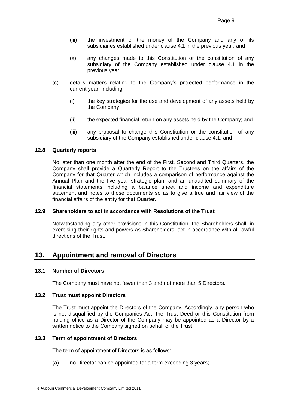- (iii) the investment of the money of the Company and any of its subsidiaries established under clause 4.1 in the previous year; and
- (x) any changes made to this Constitution or the constitution of any subsidiary of the Company established under clause 4.1 in the previous year;
- (c) details matters relating to the Company's projected performance in the current year, including:
	- (i) the key strategies for the use and development of any assets held by the Company;
	- (ii) the expected financial return on any assets held by the Company; and
	- (iii) any proposal to change this Constitution or the constitution of any subsidiary of the Company established under clause 4.1; and

#### **12.8 Quarterly reports**

No later than one month after the end of the First, Second and Third Quarters, the Company shall provide a Quarterly Report to the Trustees on the affairs of the Company for that Quarter which includes a comparison of performance against the Annual Plan and the five year strategic plan, and an unaudited summary of the financial statements including a balance sheet and income and expenditure statement and notes to those documents so as to give a true and fair view of the financial affairs of the entity for that Quarter.

#### **12.9 Shareholders to act in accordance with Resolutions of the Trust**

Notwithstanding any other provisions in this Constitution, the Shareholders shall, in exercising their rights and powers as Shareholders, act in accordance with all lawful directions of the Trust.

# **13. Appointment and removal of Directors**

#### **13.1 Number of Directors**

The Company must have not fewer than 3 and not more than 5 Directors.

#### **13.2 Trust must appoint Directors**

The Trust must appoint the Directors of the Company. Accordingly, any person who is not disqualified by the Companies Act, the Trust Deed or this Constitution from holding office as a Director of the Company may be appointed as a Director by a written notice to the Company signed on behalf of the Trust.

#### **13.3 Term of appointment of Directors**

The term of appointment of Directors is as follows:

(a) no Director can be appointed for a term exceeding 3 years;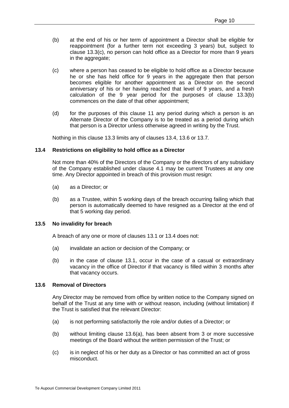- (b) at the end of his or her term of appointment a Director shall be eligible for reappointment (for a further term not exceeding 3 years) but, subject to clause 13.3(c), no person can hold office as a Director for more than 9 years in the aggregate;
- (c) where a person has ceased to be eligible to hold office as a Director because he or she has held office for 9 years in the aggregate then that person becomes eligible for another appointment as a Director on the second anniversary of his or her having reached that level of 9 years, and a fresh calculation of the 9 year period for the purposes of clause 13.3(b) commences on the date of that other appointment;
- (d) for the purposes of this clause 11 any period during which a person is an Alternate Director of the Company is to be treated as a period during which that person is a Director unless otherwise agreed in writing by the Trust.

Nothing in this clause 13.3 limits any of clauses 13.4, 13.6 or 13.7*.*

#### **13.4 Restrictions on eligibility to hold office as a Director**

Not more than 40% of the Directors of the Company or the directors of any subsidiary of the Company established under clause 4.1 may be current Trustees at any one time. Any Director appointed in breach of this provision must resign:

- (a) as a Director; or
- (b) as a Trustee, within 5 working days of the breach occurring failing which that person is automatically deemed to have resigned as a Director at the end of that 5 working day period.

# **13.5 No invalidity for breach**

A breach of any one or more of clauses 13.1 or 13.4 does not:

- (a) invalidate an action or decision of the Company; or
- (b) in the case of clause 13.1, occur in the case of a casual or extraordinary vacancy in the office of Director if that vacancy is filled within 3 months after that vacancy occurs.

#### **13.6 Removal of Directors**

Any Director may be removed from office by written notice to the Company signed on behalf of the Trust at any time with or without reason, including (without limitation) if the Trust is satisfied that the relevant Director:

- (a) is not performing satisfactorily the role and/or duties of a Director; or
- (b) without limiting clause 13.6(a), has been absent from 3 or more successive meetings of the Board without the written permission of the Trust; or
- (c) is in neglect of his or her duty as a Director or has committed an act of gross misconduct.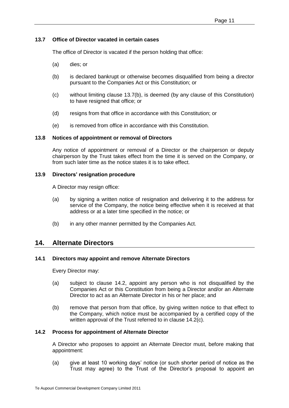# **13.7 Office of Director vacated in certain cases**

The office of Director is vacated if the person holding that office:

- (a) dies; or
- (b) is declared bankrupt or otherwise becomes disqualified from being a director pursuant to the Companies Act or this Constitution; or
- (c) without limiting clause 13.7(b), is deemed (by any clause of this Constitution) to have resigned that office; or
- (d) resigns from that office in accordance with this Constitution; or
- (e) is removed from office in accordance with this Constitution.

#### **13.8 Notices of appointment or removal of Directors**

Any notice of appointment or removal of a Director or the chairperson or deputy chairperson by the Trust takes effect from the time it is served on the Company, or from such later time as the notice states it is to take effect.

#### **13.9 Directors' resignation procedure**

A Director may resign office:

- (a) by signing a written notice of resignation and delivering it to the address for service of the Company, the notice being effective when it is received at that address or at a later time specified in the notice; or
- (b) in any other manner permitted by the Companies Act.

# **14. Alternate Directors**

#### **14.1 Directors may appoint and remove Alternate Directors**

Every Director may:

- (a) subject to clause 14.2, appoint any person who is not disqualified by the Companies Act or this Constitution from being a Director and/or an Alternate Director to act as an Alternate Director in his or her place; and
- (b) remove that person from that office, by giving written notice to that effect to the Company, which notice must be accompanied by a certified copy of the written approval of the Trust referred to in clause 14.2(c).

#### **14.2 Process for appointment of Alternate Director**

A Director who proposes to appoint an Alternate Director must, before making that appointment:

(a) give at least 10 working days' notice (or such shorter period of notice as the Trust may agree) to the Trust of the Director's proposal to appoint an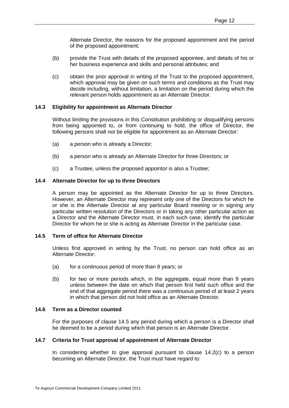Alternate Director, the reasons for the proposed appointment and the period of the proposed appointment;

- (b) provide the Trust with details of the proposed appointee, and details of his or her business experience and skills and personal attributes; and
- (c) obtain the prior approval in writing of the Trust to the proposed appointment, which approval may be given on such terms and conditions as the Trust may decide including, without limitation, a limitation on the period during which the relevant person holds appointment as an Alternate Director.

#### **14.3 Eligibility for appointment as Alternate Director**

Without limiting the provisions in this Constitution prohibiting or disqualifying persons from being appointed to, or from continuing to hold, the office of Director, the following persons shall not be eligible for appointment as an Alternate Director:

- (a) a person who is already a Director;
- (b) a person who is already an Alternate Director for three Directors; or
- (c) a Trustee, unless the proposed appointor is also a Trustee;

#### **14.4 Alternate Director for up to three Directors**

A person may be appointed as the Alternate Director for up to three Directors. However, an Alternate Director may represent only one of the Directors for which he or she is the Alternate Director at any particular Board meeting or in signing any particular written resolution of the Directors or in taking any other particular action as a Director and the Alternate Director must, in each such case, identify the particular Director for whom he or she is acting as Alternate Director in the particular case.

#### **14.5 Term of office for Alternate Director**

Unless first approved in writing by the Trust, no person can hold office as an Alternate Director:

- (a) for a continuous period of more than 9 years; or
- (b) for two or more periods which, in the aggregate, equal more than 9 years unless between the date on which that person first held such office and the end of that aggregate period there was a continuous period of at least 2 years in which that person did not hold office as an Alternate Director.

#### **14.6 Term as a Director counted**

For the purposes of clause 14.5 any period during which a person is a Director shall be deemed to be a period during which that person is an Alternate Director.

#### **14.7 Criteria for Trust approval of appointment of Alternate Director**

In considering whether to give approval pursuant to clause 14.2(c) to a person becoming an Alternate Director, the Trust must have regard to: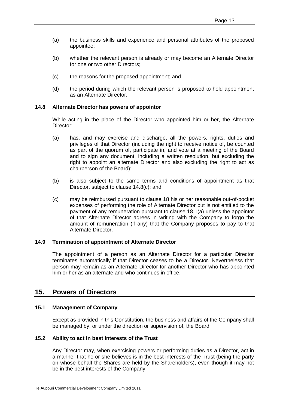- (a) the business skills and experience and personal attributes of the proposed appointee;
- (b) whether the relevant person is already or may become an Alternate Director for one or two other Directors;
- (c) the reasons for the proposed appointment; and
- (d) the period during which the relevant person is proposed to hold appointment as an Alternate Director.

#### **14.8 Alternate Director has powers of appointor**

While acting in the place of the Director who appointed him or her, the Alternate Director:

- (a) has, and may exercise and discharge, all the powers, rights, duties and privileges of that Director (including the right to receive notice of, be counted as part of the quorum of, participate in, and vote at a meeting of the Board and to sign any document, including a written resolution, but excluding the right to appoint an alternate Director and also excluding the right to act as chairperson of the Board);
- (b) is also subject to the same terms and conditions of appointment as that Director, subject to clause 14.8(c); and
- (c) may be reimbursed pursuant to clause 18 his or her reasonable out-of-pocket expenses of performing the role of Alternate Director but is not entitled to the payment of any remuneration pursuant to clause 18.1(a) unless the appointor of that Alternate Director agrees in writing with the Company to forgo the amount of remuneration (if any) that the Company proposes to pay to that Alternate Director.

#### **14.9 Termination of appointment of Alternate Director**

The appointment of a person as an Alternate Director for a particular Director terminates automatically if that Director ceases to be a Director. Nevertheless that person may remain as an Alternate Director for another Director who has appointed him or her as an alternate and who continues in office.

# **15. Powers of Directors**

#### **15.1 Management of Company**

Except as provided in this Constitution, the business and affairs of the Company shall be managed by, or under the direction or supervision of, the Board.

#### **15.2 Ability to act in best interests of the Trust**

Any Director may, when exercising powers or performing duties as a Director, act in a manner that he or she believes is in the best interests of the Trust (being the party on whose behalf the Shares are held by the Shareholders), even though it may not be in the best interests of the Company.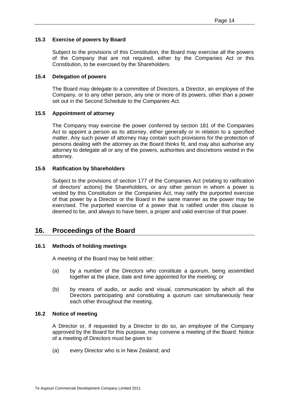# **15.3 Exercise of powers by Board**

Subject to the provisions of this Constitution, the Board may exercise all the powers of the Company that are not required, either by the Companies Act or this Constitution, to be exercised by the Shareholders.

#### **15.4 Delegation of powers**

The Board may delegate to a committee of Directors, a Director, an employee of the Company, or to any other person, any one or more of its powers, other than a power set out in the Second Schedule to the Companies Act.

# **15.5 Appointment of attorney**

The Company may exercise the power conferred by section 181 of the Companies Act to appoint a person as its attorney, either generally or in relation to a specified matter. Any such power of attorney may contain such provisions for the protection of persons dealing with the attorney as the Board thinks fit, and may also authorise any attorney to delegate all or any of the powers, authorities and discretions vested in the attorney.

#### **15.6 Ratification by Shareholders**

Subject to the provisions of section 177 of the Companies Act (relating to ratification of directors' actions) the Shareholders, or any other person in whom a power is vested by this Constitution or the Companies Act, may ratify the purported exercise of that power by a Director or the Board in the same manner as the power may be exercised. The purported exercise of a power that is ratified under this clause is deemed to be, and always to have been, a proper and valid exercise of that power.

# **16. Proceedings of the Board**

#### **16.1 Methods of holding meetings**

A meeting of the Board may be held either:

- (a) by a number of the Directors who constitute a quorum, being assembled together at the place, date and time appointed for the meeting; or
- (b) by means of audio, or audio and visual, communication by which all the Directors participating and constituting a quorum can simultaneously hear each other throughout the meeting.

#### **16.2 Notice of meeting**

A Director or, if requested by a Director to do so, an employee of the Company approved by the Board for this purpose, may convene a meeting of the Board. Notice of a meeting of Directors must be given to:

(a) every Director who is in New Zealand; and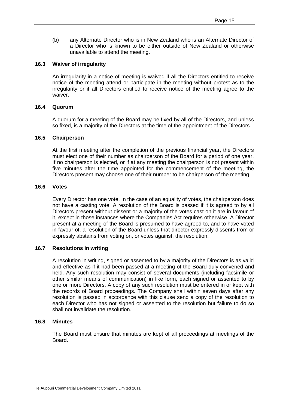(b) any Alternate Director who is in New Zealand who is an Alternate Director of a Director who is known to be either outside of New Zealand or otherwise unavailable to attend the meeting.

### **16.3 Waiver of irregularity**

An irregularity in a notice of meeting is waived if all the Directors entitled to receive notice of the meeting attend or participate in the meeting without protest as to the irregularity or if all Directors entitled to receive notice of the meeting agree to the waiver.

#### **16.4 Quorum**

A quorum for a meeting of the Board may be fixed by all of the Directors, and unless so fixed, is a majority of the Directors at the time of the appointment of the Directors.

#### **16.5 Chairperson**

At the first meeting after the completion of the previous financial year, the Directors must elect one of their number as chairperson of the Board for a period of one year. If no chairperson is elected, or if at any meeting the chairperson is not present within five minutes after the time appointed for the commencement of the meeting, the Directors present may choose one of their number to be chairperson of the meeting.

#### **16.6 Votes**

Every Director has one vote. In the case of an equality of votes, the chairperson does not have a casting vote. A resolution of the Board is passed if it is agreed to by all Directors present without dissent or a majority of the votes cast on it are in favour of it, except in those instances where the Companies Act requires otherwise. A Director present at a meeting of the Board is presumed to have agreed to, and to have voted in favour of, a resolution of the Board unless that director expressly dissents from or expressly abstains from voting on, or votes against, the resolution.

# **16.7 Resolutions in writing**

A resolution in writing, signed or assented to by a majority of the Directors is as valid and effective as if it had been passed at a meeting of the Board duly convened and held. Any such resolution may consist of several documents (including facsimile or other similar means of communication) in like form, each signed or assented to by one or more Directors. A copy of any such resolution must be entered in or kept with the records of Board proceedings. The Company shall within seven days after any resolution is passed in accordance with this clause send a copy of the resolution to each Director who has not signed or assented to the resolution but failure to do so shall not invalidate the resolution.

#### **16.8 Minutes**

The Board must ensure that minutes are kept of all proceedings at meetings of the Board.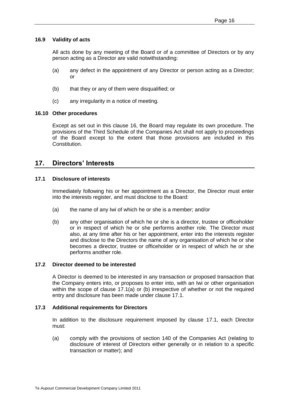# **16.9 Validity of acts**

All acts done by any meeting of the Board or of a committee of Directors or by any person acting as a Director are valid notwithstanding:

- (a) any defect in the appointment of any Director or person acting as a Director; or
- (b) that they or any of them were disqualified; or
- (c) any irregularity in a notice of meeting.

#### **16.10 Other procedures**

Except as set out in this clause 16, the Board may regulate its own procedure. The provisions of the Third Schedule of the Companies Act shall not apply to proceedings of the Board except to the extent that those provisions are included in this Constitution.

# **17. Directors' Interests**

### **17.1 Disclosure of interests**

Immediately following his or her appointment as a Director, the Director must enter into the interests register, and must disclose to the Board:

- (a) the name of any Iwi of which he or she is a member; and/or
- (b) any other organisation of which he or she is a director, trustee or officeholder or in respect of which he or she performs another role. The Director must also, at any time after his or her appointment, enter into the interests register and disclose to the Directors the name of any organisation of which he or she becomes a director, trustee or officeholder or in respect of which he or she performs another role.

#### **17.2 Director deemed to be interested**

A Director is deemed to be interested in any transaction or proposed transaction that the Company enters into, or proposes to enter into, with an Iwi or other organisation within the scope of clause 17.1(a) or (b) irrespective of whether or not the required entry and disclosure has been made under clause 17.1.

#### **17.3 Additional requirements for Directors**

In addition to the disclosure requirement imposed by clause 17.1, each Director must:

(a) comply with the provisions of section 140 of the Companies Act (relating to disclosure of interest of Directors either generally or in relation to a specific transaction or matter); and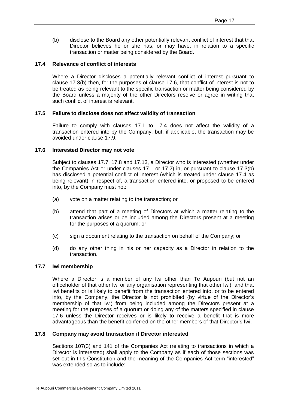(b) disclose to the Board any other potentially relevant conflict of interest that that Director believes he or she has, or may have, in relation to a specific transaction or matter being considered by the Board.

#### **17.4 Relevance of conflict of interests**

Where a Director discloses a potentially relevant conflict of interest pursuant to clause 17.3(b) then, for the purposes of clause 17.6, that conflict of interest is not to be treated as being relevant to the specific transaction or matter being considered by the Board unless a majority of the other Directors resolve or agree in writing that such conflict of interest is relevant.

#### **17.5 Failure to disclose does not affect validity of transaction**

Failure to comply with clauses 17.1 to 17.4 does not affect the validity of a transaction entered into by the Company, but, if applicable, the transaction may be avoided under clause 17.9.

#### **17.6 Interested Director may not vote**

Subject to clauses 17.7, 17.8 and 17.13, a Director who is interested (whether under the Companies Act or under clauses 17.1 or 17.2) in, or pursuant to clause 17.3(b) has disclosed a potential conflict of interest (which is treated under clause 17.4 as being relevant) in respect of, a transaction entered into, or proposed to be entered into, by the Company must not:

- (a) vote on a matter relating to the transaction; or
- (b) attend that part of a meeting of Directors at which a matter relating to the transaction arises or be included among the Directors present at a meeting for the purposes of a quorum; or
- (c) sign a document relating to the transaction on behalf of the Company; or
- (d) do any other thing in his or her capacity as a Director in relation to the transaction.

#### **17.7 Iwi membership**

Where a Director is a member of any Iwi other than Te Aupouri (but not an officeholder of that other Iwi or any organisation representing that other Iwi), and that Iwi benefits or is likely to benefit from the transaction entered into, or to be entered into, by the Company, the Director is not prohibited (by virtue of the Director's membership of that Iwi) from being included among the Directors present at a meeting for the purposes of a quorum or doing any of the matters specified in clause 17.6 unless the Director receives or is likely to receive a benefit that is more advantageous than the benefit conferred on the other members of that Director's Iwi.

### **17.8 Company may avoid transaction if Director interested**

Sections 107(3) and 141 of the Companies Act (relating to transactions in which a Director is interested) shall apply to the Company as if each of those sections was set out in this Constitution and the meaning of the Companies Act term "interested" was extended so as to include: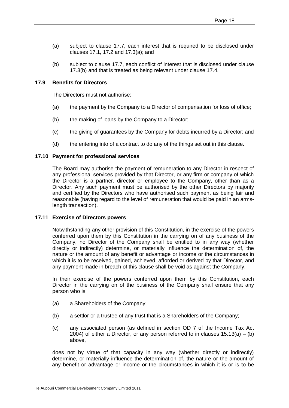- (a) subject to clause 17.7, each interest that is required to be disclosed under clauses 17.1, 17.2 and 17.3(a); and
- (b) subject to clause 17.7, each conflict of interest that is disclosed under clause 17.3(b) and that is treated as being relevant under clause 17.4.

### **17.9 Benefits for Directors**

The Directors must not authorise:

- (a) the payment by the Company to a Director of compensation for loss of office;
- (b) the making of loans by the Company to a Director;
- (c) the giving of guarantees by the Company for debts incurred by a Director; and
- (d) the entering into of a contract to do any of the things set out in this clause.

#### **17.10 Payment for professional services**

The Board may authorise the payment of remuneration to any Director in respect of any professional services provided by that Director, or any firm or company of which the Director is a partner, director or employee to the Company, other than as a Director. Any such payment must be authorised by the other Directors by majority and certified by the Directors who have authorised such payment as being fair and reasonable (having regard to the level of remuneration that would be paid in an armslength transaction).

#### **17.11 Exercise of Directors powers**

Notwithstanding any other provision of this Constitution, in the exercise of the powers conferred upon them by this Constitution in the carrying on of any business of the Company, no Director of the Company shall be entitled to in any way (whether directly or indirectly) determine, or materially influence the determination of, the nature or the amount of any benefit or advantage or income or the circumstances in which it is to be received, gained, achieved, afforded or derived by that Director, and any payment made in breach of this clause shall be void as against the Company.

In their exercise of the powers conferred upon them by this Constitution, each Director in the carrying on of the business of the Company shall ensure that any person who is

- (a) a Shareholders of the Company;
- (b) a settlor or a trustee of any trust that is a Shareholders of the Company;
- (c) any associated person (as defined in section OD 7 of the Income Tax Act 2004) of either a Director, or any person referred to in clauses  $15.13(a) - (b)$ above,

does not by virtue of that capacity in any way (whether directly or indirectly) determine, or materially influence the determination of, the nature or the amount of any benefit or advantage or income or the circumstances in which it is or is to be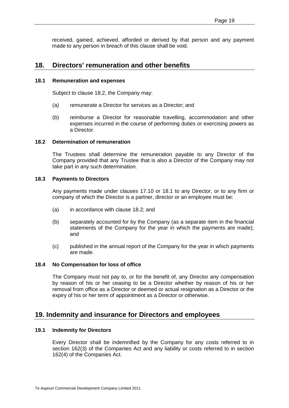received, gained, achieved, afforded or derived by that person and any payment made to any person in breach of this clause shall be void.

# **18. Directors' remuneration and other benefits**

#### **18.1 Remuneration and expenses**

Subject to clause 18.2, the Company may:

- (a) remunerate a Director for services as a Director; and
- (b) reimburse a Director for reasonable travelling, accommodation and other expenses incurred in the course of performing duties or exercising powers as a Director.

# **18.2 Determination of remuneration**

The Trustees shall determine the remuneration payable to any Director of the Company provided that any Trustee that is also a Director of the Company may not take part in any such determination.

#### **18.3 Payments to Directors**

Any payments made under clauses 17.10 or 18.1 to any Director, or to any firm or company of which the Director is a partner, director or an employee must be:

- (a) in accordance with clause 18.2; and
- (b) separately accounted for by the Company (as a separate item in the financial statements of the Company for the year in which the payments are made); and
- (c) published in the annual report of the Company for the year in which payments are made.

# **18.4 No Compensation for loss of office**

The Company must not pay to, or for the benefit of, any Director any compensation by reason of his or her ceasing to be a Director whether by reason of his or her removal from office as a Director or deemed or actual resignation as a Director or the expiry of his or her term of appointment as a Director or otherwise.

# **19. Indemnity and insurance for Directors and employees**

# **19.1 Indemnity for Directors**

Every Director shall be indemnified by the Company for any costs referred to in section 162(3) of the Companies Act and any liability or costs referred to in section 162(4) of the Companies Act.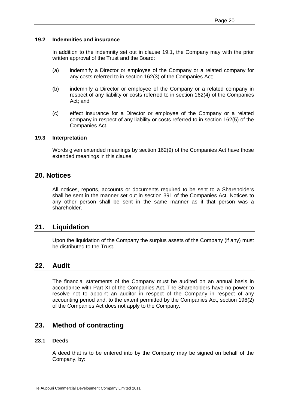### **19.2 Indemnities and insurance**

In addition to the indemnity set out in clause 19.1, the Company may with the prior written approval of the Trust and the Board:

- (a) indemnify a Director or employee of the Company or a related company for any costs referred to in section 162(3) of the Companies Act;
- (b) indemnify a Director or employee of the Company or a related company in respect of any liability or costs referred to in section 162(4) of the Companies Act; and
- (c) effect insurance for a Director or employee of the Company or a related company in respect of any liability or costs referred to in section 162(5) of the Companies Act.

#### **19.3 Interpretation**

Words given extended meanings by section 162(9) of the Companies Act have those extended meanings in this clause.

# **20. Notices**

All notices, reports, accounts or documents required to be sent to a Shareholders shall be sent in the manner set out in section 391 of the Companies Act. Notices to any other person shall be sent in the same manner as if that person was a shareholder.

# **21. Liquidation**

Upon the liquidation of the Company the surplus assets of the Company (if any) must be distributed to the Trust.

# **22. Audit**

The financial statements of the Company must be audited on an annual basis in accordance with Part XI of the Companies Act. The Shareholders have no power to resolve not to appoint an auditor in respect of the Company in respect of any accounting period and, to the extent permitted by the Companies Act, section 196(2) of the Companies Act does not apply to the Company.

# **23. Method of contracting**

#### **23.1 Deeds**

A deed that is to be entered into by the Company may be signed on behalf of the Company, by: